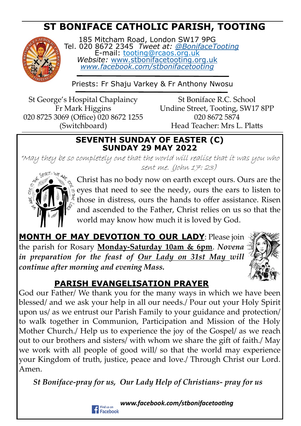# **ST BONIFACE CATHOLIC PARISH, TOOTING**



185 Mitcham Road, London SW17 9PG Tel. 020 8672 2345 *Tweet at: [@BonifaceTooting](http://twitter.com/bonifacetooting)* E-mail: tooting@rcaos.org.uk *Website:* [www.stbonifacetooting.org.uk](http://www.stbonifacetooting.org.uk) *[www.facebook.com/stbonifacetooting](http://www.facebook.com/stbonifacetooting)*

Priests: Fr Shaju Varkey & Fr Anthony Nwosu

St George's Hospital Chaplaincy Fr Mark Higgins 020 8725 3069 (Office) 020 8672 1255 (Switchboard)

St Boniface R.C. School Undine Street, Tooting, SW17 8PP 020 8672 5874 Head Teacher: Mrs L. Platts

#### **SEVENTH SUNDAY OF EASTER (C) SUNDAY 29 MAY 2022**

"May they be so completely one that the world will realise that it was you who sent me. (John 17: 23)



Christ has no body now on earth except ours. Ours are the  $\stackrel{\scriptscriptstyle \times}{\scriptscriptstyle \times}$  eyes that need to see the needy, ours the ears to listen to  $\mathbb{R}^{\mathbb{R}}$  those in distress, ours the hands to offer assistance. Risen and ascended to the Father, Christ relies on us so that the world may know how much it is loved by God.

**MONTH OF MAY DEVOTION TO OUR LADY**: Please join the parish for Rosary **Monday-Saturday 10am & 6pm**. *Novena in preparation for the feast of Our Lady on 31st May will continue after morning and evening Mass.*



# **PARISH EVANGELISATION PRAYER**

God our Father/ We thank you for the many ways in which we have been blessed/ and we ask your help in all our needs./ Pour out your Holy Spirit upon us/ as we entrust our Parish Family to your guidance and protection/ to walk together in Communion, Participation and Mission of the Holy Mother Church./ Help us to experience the joy of the Gospel/ as we reach out to our brothers and sisters/ with whom we share the gift of faith./ May we work with all people of good will/ so that the world may experience your Kingdom of truth, justice, peace and love./ Through Christ our Lord. Amen.

*St Boniface-pray for us, Our Lady Help of Christians- pray for us* 

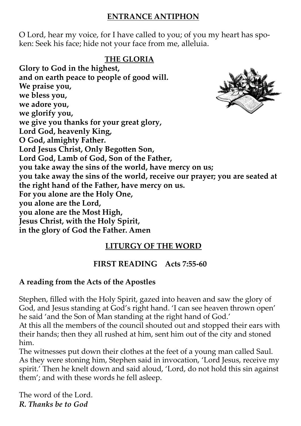### **ENTRANCE ANTIPHON**

O Lord, hear my voice, for I have called to you; of you my heart has spoken: Seek his face; hide not your face from me, alleluia.

**THE GLORIA Glory to God in the highest, and on earth peace to people of good will. We praise you, we bless you, we adore you, we glorify you, we give you thanks for your great glory, Lord God, heavenly King, O God, almighty Father. Lord Jesus Christ, Only Begotten Son, Lord God, Lamb of God, Son of the Father, you take away the sins of the world, have mercy on us; you take away the sins of the world, receive our prayer; you are seated at the right hand of the Father, have mercy on us. For you alone are the Holy One, you alone are the Lord, you alone are the Most High, Jesus Christ, with the Holy Spirit, in the glory of God the Father. Amen** 

### **LITURGY OF THE WORD**

### **FIRST READING Acts 7:55-60**

### **A reading from the Acts of the Apostles**

Stephen, filled with the Holy Spirit, gazed into heaven and saw the glory of God, and Jesus standing at God's right hand. 'I can see heaven thrown open' he said 'and the Son of Man standing at the right hand of God.'

At this all the members of the council shouted out and stopped their ears with their hands; then they all rushed at him, sent him out of the city and stoned him.

The witnesses put down their clothes at the feet of a young man called Saul. As they were stoning him, Stephen said in invocation, 'Lord Jesus, receive my spirit.' Then he knelt down and said aloud, 'Lord, do not hold this sin against them'; and with these words he fell asleep.

The word of the Lord. *R. Thanks be to God*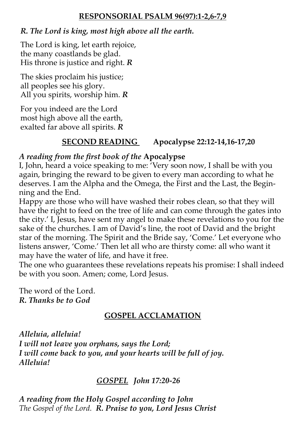#### **RESPONSORIAL PSALM 96(97):1-2,6-7,9**

#### *R. The Lord is king, most high above all the earth.*

The Lord is king, let earth rejoice, the many coastlands be glad. His throne is justice and right. *R*

The skies proclaim his justice; all peoples see his glory. All you spirits, worship him. *R*

For you indeed are the Lord most high above all the earth, exalted far above all spirits. *R*

### **SECOND READING Apocalypse 22:12-14,16-17,20**

### *A reading from the first book of the* **Apocalypse**

I, John, heard a voice speaking to me: 'Very soon now, I shall be with you again, bringing the reward to be given to every man according to what he deserves. I am the Alpha and the Omega, the First and the Last, the Beginning and the End.

Happy are those who will have washed their robes clean, so that they will have the right to feed on the tree of life and can come through the gates into the city.' I, Jesus, have sent my angel to make these revelations to you for the sake of the churches. I am of David's line, the root of David and the bright star of the morning. The Spirit and the Bride say, 'Come.' Let everyone who listens answer, 'Come.' Then let all who are thirsty come: all who want it may have the water of life, and have it free.

The one who guarantees these revelations repeats his promise: I shall indeed be with you soon. Amen; come, Lord Jesus.

The word of the Lord. *R. Thanks be to God* 

### **GOSPEL ACCLAMATION**

*Alleluia, alleluia! I will not leave you orphans, says the Lord; I will come back to you, and your hearts will be full of joy. Alleluia!*

#### *GOSPEL John 17:20-26*

*A reading from the Holy Gospel according to John The Gospel of the Lord. R. Praise to you, Lord Jesus Christ*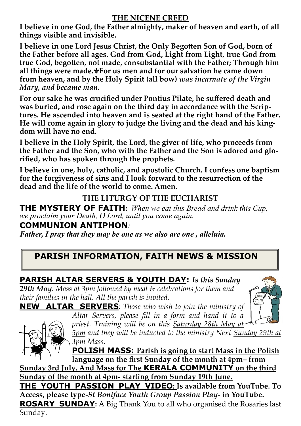#### **THE NICENE CREED**

**I believe in one God, the Father almighty, maker of heaven and earth, of all things visible and invisible.**

**I believe in one Lord Jesus Christ, the Only Begotten Son of God, born of the Father before all ages. God from God, Light from Light, true God from true God, begotten, not made, consubstantial with the Father; Through him all things were made.
For us men and for our salvation he came down from heaven, and by the Holy Spirit (all bow)** *was incarnate of the Virgin Mary, and became man.*

**For our sake he was crucified under Pontius Pilate, he suffered death and was buried, and rose again on the third day in accordance with the Scriptures. He ascended into heaven and is seated at the right hand of the Father. He will come again in glory to judge the living and the dead and his kingdom will have no end.**

**I believe in the Holy Spirit, the Lord, the giver of life, who proceeds from the Father and the Son, who with the Father and the Son is adored and glorified, who has spoken through the prophets.**

**I believe in one, holy, catholic, and apostolic Church. I confess one baptism for the forgiveness of sins and I look forward to the resurrection of the dead and the life of the world to come. Amen.**

### **THE LITURGY OF THE EUCHARIST**

**THE MYSTERY OF FAITH:** *When we eat this Bread and drink this Cup, we proclaim your Death, O Lord, until you come again.* 

### **COMMUNION ANTIPHON***:*

*Father, I pray that they may be one as we also are one , alleluia.*

# **PARISH INFORMATION, FAITH NEWS & MISSION**

### **PARISH ALTAR SERVERS & YOUTH DAY:** *Is this Sunday*

*29th May. Mass at 3pm followed by meal & celebrations for them and their families in the hall. All the parish is invited.*

**NEW ALTAR SERVERS***: Those who wish to join the ministry of Altar Servers, please fill in a form and hand it to a* 





*priest. Training will be on this Saturday 28th May at 5pm and they will be inducted to the ministry Next Sunday 29th at 3pm Mass.* 

**POLISH MASS: Parish is going to start Mass in the Polish language on the first Sunday of the month at 4pm– from** 

**Sunday 3rd July. And Mass for The KERALA COMMUNITY on the third Sunday of the month at 4pm- starting from Sunday 19th June.** 

**THE YOUTH PASSION PLAY VIDEO: Is available from YouTube. To Access, please type-***St Boniface Youth Group Passion Play***- in YouTube. ROSARY SUNDAY:** A Big Thank You to all who organised the Rosaries last Sunday.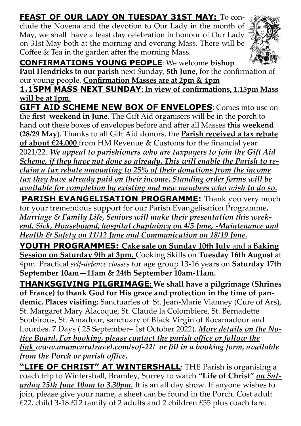# **FEAST OF OUR LADY ON TUESDAY 31ST MAY:** To con-

clude the Novena and the devotion to Our Lady in the month of May, we shall have a feast day celebration in honour of Our Lady on 31st May both at the morning and evening Mass. There will be Coffee & Tea in the garden after the morning Mass.



**CONFIRMATIONS YOUNG PEOPLE**: We welcome **bishop** 

**Paul Hendricks to our parish** next Sunday, **5th June,** for the confirmation of our young people. **Confirmation Masses are at 2pm & 4pm**

**1.15PM MASS NEXT SUNDAY: In view of confirmations, 1.15pm Mass will be at 1pm.**

**GIFT AID SCHEME NEW BOX OF ENVELOPES**: Comes into use on the **first weekend in June**. The Gift Aid organisers will be in the porch to hand out these boxes of envelopes before and after all Masses **this weekend (28/29 May**). Thanks to all Gift Aid donors, the **Parish received a tax rebate of about £24,000** from HM Revenue & Customs for the financial year 2021/22. *We appeal to parishioners who are taxpayers to join the Gift Aid Scheme, if they have not done so already. This will enable the Parish to reclaim a tax rebate amounting to 25% of their donations from the income tax they have already paid on their income. Standing order forms will be available for completion by existing and new members who wish to do so.*

**PARISH EVANGELISATION PROGRAMME:** Thank you very much for your tremendous support for our Parish Evangelisation Programme*. Marriage & Family Life, Seniors will make their presentation this weekend. Sick, Housebound, hospital chaplaincy on 4/5 June, -Maintenance and Health & Safety on 11/12 June and Communication on 18/19 June.*

**YOUTH PROGRAMMES: Cake sale on Sunday 10th July** and a B**aking Session on Saturday 9th at 3pm.** Cooking Skills on **Tuesday 16th August** at 4pm. Practical *self*-*defence classes* for age group 13-16 years on **Saturday 17th September 10am—11am & 24th September 10am-11am.** 

**THANKSGIVING PILGRIMAGE: We shall have a pilgrimage (Shrines of France) to thank God for His grace and protection in the time of pandemic. Places visiting:** Sanctuaries of St. Jean-Marie Vianney (Cure of Ars), St. Margaret Mary Alacoque, St. Claude la Colombiere, St. Bernadette Soubirous, St. Amadour, sanctuary of Black Virgin of Rocamadour and Lourdes. 7 Days ( 25 September– 1st October 2022). *More details on the Notice Board. For booking, please contact the parish office or follow the link www.anamcaratravel.com/sof-22/ or fill in a booking form, available from the Porch or parish office.* 

**"LIFE OF CHRIST" AT WINTERSHALL**: THE Parish is organising a coach trip to Wintershall, Bramley, Surrey to watch **"Life of Christ"** *on Saturday 25th June 10am to 3.30pm.* It is an all day show. If anyone wishes to join, please give your name, a sheet can be found in the Porch. Cost adult £22, child 3-18:£12 family of 2 adults and 2 children £55 plus coach fare.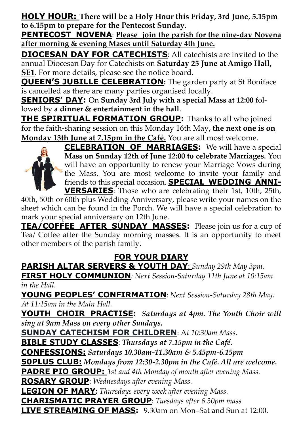**HOLY HOUR: There will be a Holy Hour this Friday, 3rd June, 5.15pm to 6.15pm to prepare for the Pentecost Sunday.**

**PENTECOST NOVENA**: **Please join the parish for the nine-day Novena after morning & evening Mases until Saturday 4th June.** 

**DIOCESAN DAY FOR CATECHISTS**: All catechists are invited to the annual Diocesan Day for Catechists on **Saturday 25 June at Amigo Hall, SE1**. For more details, please see the notice board.

**QUEEN'S JUBILLE CELEBRATION:** The garden party at St Boniface is cancelled as there are many parties organised locally.

**SENIORS' DAY:** On **Sunday 3rd July with a special Mass at 12:00** followed by **a dinner & entertainment in the hall**.

**THE SPIRITUAL FORMATION GROUP:** Thanks to all who joined for the faith-sharing session on this Monday 16th May**, the next one is on Monday 13th June at 7.15pm in the Café.** You are all most welcome.



**CELEBRATION OF MARRIAGES:** We will have a special **Mass on Sunday 12th of June 12:00 to celebrate Marriages.** You will have an opportunity to renew your Marriage Vows during the Mass. You are most welcome to invite your family and friends to this special occasion. **SPECIAL WEDDING ANNI-VERSARIES**: Those who are celebrating their 1st, 10th, 25th,

40th, 50th or 60th plus Wedding Anniversary, please write your names on the sheet which can be found in the Porch. We will have a special celebration to mark your special anniversary on 12th June.

**TEA/COFFEE AFTER SUNDAY MASSES:** Please join us for a cup of Tea/ Coffee after the Sunday morning masses. It is an opportunity to meet other members of the parish family.

### **FOR YOUR DIARY**

**PARISH ALTAR SERVERS & YOUTH DAY**: *Sunday 29th May 3pm.*  **FIRST HOLY COMMUNION***: Next Session-Saturday 11th June at 10:15am in the Hall.* 

**YOUNG PEOPLES' CONFIRMATION**: *Next Session-Saturday 28th May. At 11:15am in the Main Hall.* 

**YOUTH CHOIR PRACTISE:** *Saturdays at 4pm. The Youth Choir will sing at 9am Mass on every other Sundays.*

**SUNDAY CATECHISM FOR CHILDREN**: A*t 10:30am Mass.* 

**BIBLE STUDY CLASSES**: *Thursdays at 7.15pm in the Café.* 

**CONFESSIONS:** *Saturdays 10.30am-11.30am & 5.45pm-6.15pm*

**50PLUS CLUB:** *Mondays from 12:30-2.30pm in the Café. All are welcome***.**

**PADRE PIO GROUP:** *1st and 4th Monday of month after evening Mass.* 

**ROSARY GROUP**: *Wednesdays after evening Mass.*

**LEGION OF MARY:** *Thursdays every week after evening Mass.*

**CHARISMATIC PRAYER GROUP**: *Tuesdays after 6.30pm mass*

**LIVE STREAMING OF MASS:** 9.30am on Mon–Sat and Sun at 12:00.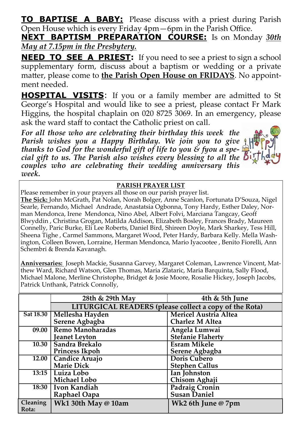**TO BAPTISE A BABY:** Please discuss with a priest during Parish Open House which is every Friday 4pm—6pm in the Parish Office.

**NEXT BAPTISM PREPARATION COURSE:** Is on Monday *30th May at 7.15pm in the Presbytery.*

**NEED TO SEE A PRIEST:** If you need to see a priest to sign a school supplementary form, discuss about a baptism or wedding or a private matter, please come to **the Parish Open House on FRIDAYS**. No appointment needed.

**HOSPITAL VISITS:** If you or a family member are admitted to St George's Hospital and would like to see a priest, please contact Fr Mark Higgins, the hospital chaplain on 020 8725 3069. In an emergency, please ask the ward staff to contact the Catholic priest on call.

*For all those who are celebrating their birthday this week the Parish wishes you a Happy Birthday. We join you to give thanks to God for the wonderful gift of life to you & fyou a special gift to us. The Parish also wishes every blessing to all the couples who are celebrating their wedding anniversary this week.*



#### **PARISH PRAYER LIST**

Please remember in your prayers all those on our parish prayer list. **The Sick:** John McGrath, Pat Nolan, Norah Bolger, Anne Scanlon, Fortunata D'Souza, Nigel Searle, Fernando, Michael Andrade, Anastatsia Ogbonna, Tony Hardy, Esther Daley, Norman Mendonca, Irene Mendonca, Nino Abel, Albert Folvi, Marciana Tangcay, Geoff Blwyddin , Christina Grogan, Matilda Addison, Elizabeth Bosley, Frances Brady, Maureen Connelly, Paric Burke, Eli Lee Roberts, Daniel Bird, Shireen Doyle, Mark Sharkey, Tess Hill, Sheena Tighe , Carmel Sammons, Margaret Wood, Peter Hardy, Barbara Kelly. Mella Washington, Colleen Bowen, Lorraine, Herman Mendonca, Mario Iyacootee , Benito Fiorelli, Ann Schembri & Brenda Kavanagh.

**Anniversaries:** Joseph Mackie, Susanna Garvey, Margaret Coleman, Lawrence Vincent, Matthew Ward, Richard Watson, Glen Thomas, Maria Zlataric, Maria Barquinta, Sally Flood, Michael Malone, Merline Christophe, Bridget & Josie Moore, Rosalie Hickey, Joseph Jacobs, Patrick Unthank, Patrick Connolly,

|           | 28th & 29th May                                        | 4th & 5th June               |  |  |
|-----------|--------------------------------------------------------|------------------------------|--|--|
|           | LITURGICAL READERS (please collect a copy of the Rota) |                              |  |  |
| Sat 18.30 | Mellesha Hayden                                        | <b>Mericel Austria Altea</b> |  |  |
|           | Serene Agbagba                                         | <b>Charlez M Altea</b>       |  |  |
| 09.00     | <b>Remo Manoharadas</b>                                | Angela Lumwai                |  |  |
|           | <b>Jeanet Leyton</b>                                   | <b>Stefanie Flaherty</b>     |  |  |
| 10.30     | Sandra Brekalo                                         | <b>Esram Mikele</b>          |  |  |
|           | <b>Princess Ikpoh</b>                                  | Serene Agbagba               |  |  |
| 12.00     | Candice Aruajo                                         | <b>Doris Cubero</b>          |  |  |
|           | <b>Marie Dick</b>                                      | <b>Stephen Callus</b>        |  |  |
| 13:15     | Luiza Lobo                                             | Ian Johnston                 |  |  |
|           | <b>Michael Lobo</b>                                    | Chisom Aghaji                |  |  |
| 18:30     | Ivon Kandiah                                           | <b>Padraig Cronin</b>        |  |  |
|           | <b>Raphael Oapa</b>                                    | <b>Susan Daniel</b>          |  |  |
| Cleaning  | Wk1 30th May @ 10am                                    | Wk2 6th June @ 7pm           |  |  |
| Rota:     |                                                        |                              |  |  |